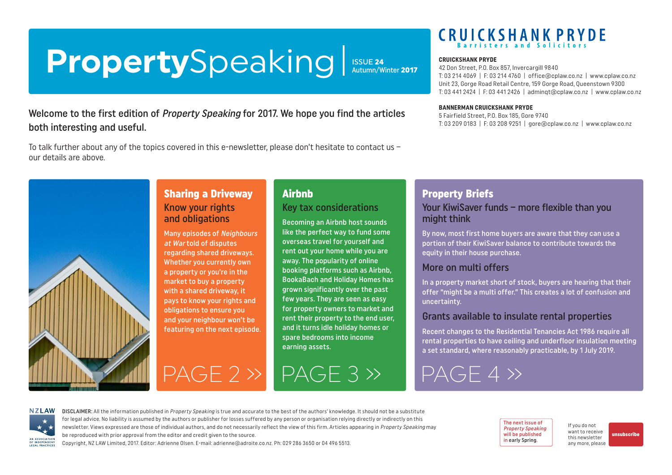## <span id="page-0-0"></span>**Property**Speaking **ISSUE 24**<br>Autumn/Winter 2017

## Welcome to the first edition of Property Speaking for 2017. We hope you find the articles both interesting and useful.

To talk further about any of the topics covered in this e-newsletter, please don't hesitate to contact us – our details are above.

Sharing a Driveway

Many episodes of Neighbours at War told of disputes regarding shared driveways. Whether you currently own a property or you're in the market to buy a property with a shared driveway, it pays to know your rights and obligations to ensure you and your neighbour won't be featuring on the next episode.

Know your rights and obligations



## **Airhnh**

#### Key tax considerations

Becoming an Airbnb host sounds like the perfect way to fund some overseas travel for yourself and rent out your home while you are away. The popularity of online booking platforms such as Airbnb, BookaBach and Holiday Homes has grown significantly over the past few years. They are seen as easy for property owners to market and rent their property to the end user, and it turns idle holiday homes or spare bedrooms into income earning assets.

# **CRUICKSHANK PRYDE**

#### **CRUICKSHANK PRYDE**

42 Don Street, P.O. Box 857, Invercargill 9840 T: 03 214 4069 | F: 03 214 4760 | [office@cplaw.co.nz](mailto:office%40cplaw.co.nz?subject=) | www.cplaw.co.nz Unit 23, Gorge Road Retail Centre, 159 Gorge Road, Queenstown 9300 T: 03 441 2424 | F: 03 441 2426 | adminqt@cplaw.co.nz | www.cplaw.co.nz

#### **BANNERMAN CRUICKSHANK PRYDE**

5 Fairfield Street, P.O. Box 185, Gore 9740 T: 03 209 0183 | F: 03 208 9251 | gore@cplaw.co.nz | www.cplaw.co.nz

## Property Briefs

#### Your KiwiSaver funds – more flexible than you might think

By now, most first home buyers are aware that they can use a portion of their KiwiSaver balance to contribute towards the equity in their house purchase.

### More on multi offers

In a property market short of stock, buyers are hearing that their offer "might be a multi offer." This creates a lot of confusion and uncertainty.

#### Grants available to insulate rental properties

Recent changes to the Residential Tenancies Act 1986 require all rental properties to have ceiling and underfloor insulation meeting a set standard, where reasonably practicable, by 1 July 2019.

[PAGE 2 »](#page-1-0) [PAGE 3 »](#page-2-0) [PAGE 4 »](#page-3-0)



DISCLAIMER: All the information published in Property Speaking is true and accurate to the best of the authors' knowledge. It should not be a substitute for legal advice. No liability is assumed by the authors or publisher for losses suffered by any person or organisation relying directly or indirectly on this newsletter. Views expressed are those of individual authors, and do not necessarily reflect the view of this firm. Articles appearing in Property Speaking may be reproduced with prior approval from the editor and credit given to the source.

Copyright, NZ LAW Limited, 2017. Editor: Adrienne Olsen. [E-mail: adrienne@adroite.co.nz.](mailto:adrienne@adroite.co.nz) Ph: 029 286 3650 or 04 496 5513.

The next issue of Property Speaking will be published in early Spring.

If you do not want to receive this newsletter any more, please [unsubscribe](mailto:adrienne%40adroite.co.nz?subject=Property%20Speaking%20-%20unsubscribe%20me%20please)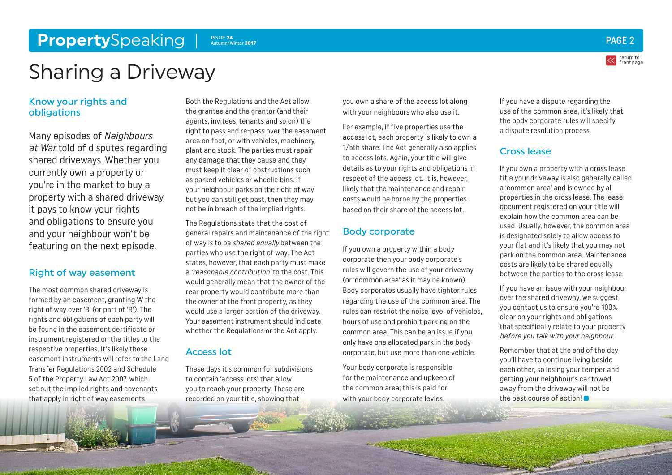#### <span id="page-1-0"></span>**Property**Speaking Part and the structure of the second part of the structure of the structure of the structure of the structure of the structure of the structure of the structure of the structure of the structure of the s Autumn/Winter 2017



return to

Sharing a Driveway

#### Know your rights and obligations

Many episodes of Neighbours at War told of disputes regarding shared driveways. Whether you currently own a property or you're in the market to buy a property with a shared driveway, it pays to know your rights and obligations to ensure you and your neighbour won't be featuring on the next episode.

#### Right of way easement

The most common shared driveway is formed by an easement, granting 'A' the right of way over 'B' (or part of 'B'). The rights and obligations of each party will be found in the easement certificate or instrument registered on the titles to the respective properties. It's likely those easement instruments will refer to the Land Transfer Regulations 2002 and Schedule 5 of the Property Law Act 2007, which set out the implied rights and covenants that apply in right of way easements.

Both the Regulations and the Act allow the grantee and the grantor (and their agents, invitees, tenants and so on) the right to pass and re-pass over the easement area on foot, or with vehicles, machinery, plant and stock. The parties must repair any damage that they cause and they must keep it clear of obstructions such as parked vehicles or wheelie bins. If your neighbour parks on the right of way but you can still get past, then they may not be in breach of the implied rights.

The Regulations state that the cost of general repairs and maintenance of the right of way is to be shared equally between the parties who use the right of way. The Act states, however, that each party must make a 'reasonable contribution' to the cost. This would generally mean that the owner of the rear property would contribute more than the owner of the front property, as they would use a larger portion of the driveway. Your easement instrument should indicate whether the Regulations or the Act apply.

#### Access lot

These days it's common for subdivisions to contain 'access lots' that allow you to reach your property. These are recorded on your title, showing that

you own a share of the access lot along with your neighbours who also use it.

For example, if five properties use the access lot, each property is likely to own a 1/5th share. The Act generally also applies to access lots. Again, your title will give details as to your rights and obligations in respect of the access lot. It is, however, likely that the maintenance and repair costs would be borne by the properties based on their share of the access lot.

#### Body corporate

If you own a property within a body corporate then your body corporate's rules will govern the use of your driveway (or 'common area' as it may be known). Body corporates usually have tighter rules regarding the use of the common area. The rules can restrict the noise level of vehicles, hours of use and prohibit parking on the common area. This can be an issue if you only have one allocated park in the body corporate, but use more than one vehicle.

Your body corporate is responsible for the maintenance and upkeep of the common area; this is paid for with your body corporate levies.

If you have a dispute regarding the use of the common area, it's likely that the body corporate rules will specify a dispute resolution process.

#### Cross lease

If you own a property with a cross lease title your driveway is also generally called a 'common area' and is owned by all properties in the cross lease. The lease document registered on your title will explain how the common area can be used. Usually, however, the common area is designated solely to allow access to your flat and it's likely that you may not park on the common area. Maintenance costs are likely to be shared equally between the parties to the cross lease.

If you have an issue with your neighbour over the shared driveway, we suggest you contact us to ensure you're 100% clear on your rights and obligations that specifically relate to your property before you talk with your neighbour.

Remember that at the end of the day you'll have to continue living beside each other, so losing your temper and getting your neighbour's car towed away from the driveway will not be the best course of action!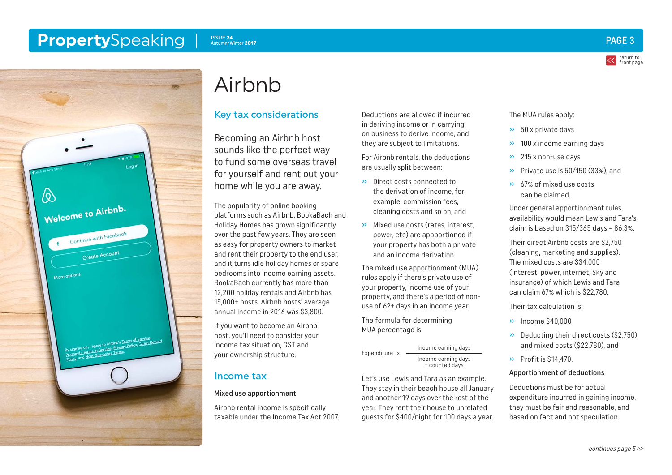#### <span id="page-2-0"></span>**Property**Speaking ISSUE 24 Autumn/Winter 2017



return to [front page](#page-0-0)



# Airbnb

### Key tax considerations

Becoming an Airbnb host sounds like the perfect way to fund some overseas travel for yourself and rent out your home while you are away.

The popularity of online booking platforms such as Airbnb, BookaBach and Holiday Homes has grown significantly over the past few years. They are seen as easy for property owners to market and rent their property to the end user, and it turns idle holiday homes or spare bedrooms into income earning assets. BookaBach currently has more than 12,200 holiday rentals and Airbnb has 15,000+ hosts. Airbnb hosts' average annual income in 2016 was \$3,800.

If you want to become an Airbnb host, you'll need to consider your income tax situation, GST and your ownership structure.

### Income tax

#### Mixed use apportionment

Airbnb rental income is specifically taxable under the Income Tax Act 2007. Deductions are allowed if incurred in deriving income or in carrying on business to derive income, and they are subject to limitations.

For Airbnb rentals, the deductions are usually split between:

- » Direct costs connected to the derivation of income, for example, commission fees, cleaning costs and so on, and
- » Mixed use costs (rates, interest, power, etc) are appportioned if your property has both a private and an income derivation.

The mixed use apportionment (MUA) rules apply if there's private use of your property, income use of your property, and there's a period of nonuse of 62+ days in an income year.

The formula for determining MUA percentage is:

Expenditure x Income earning days Income earning days + counted days

Let's use Lewis and Tara as an example. They stay in their beach house all January and another 19 days over the rest of the year. They rent their house to unrelated guests for \$400/night for 100 days a year.

#### The MUA rules apply:

- $\rightarrow$  50 x private days
- » 100 x income earning days
- » 215 x non-use days
- » Private use is 50/150 (33%), and
- » 67% of mixed use costs can be claimed.

Under general apportionment rules, availability would mean Lewis and Tara's claim is based on  $315/365$  days =  $86.3\%$ .

Their direct Airbnb costs are \$2,750 (cleaning, marketing and supplies). The mixed costs are \$34,000 (interest, power, internet, Sky and insurance) of which Lewis and Tara can claim 67% which is \$22,780.

Their tax calculation is:

- » Income \$40,000
- » Deducting their direct costs (\$2,750) and mixed costs (\$22,780), and
- » Profit is \$14,470.

#### Apportionment of deductions

Deductions must be for actual expenditure incurred in gaining income, they must be fair and reasonable, and based on fact and not speculation.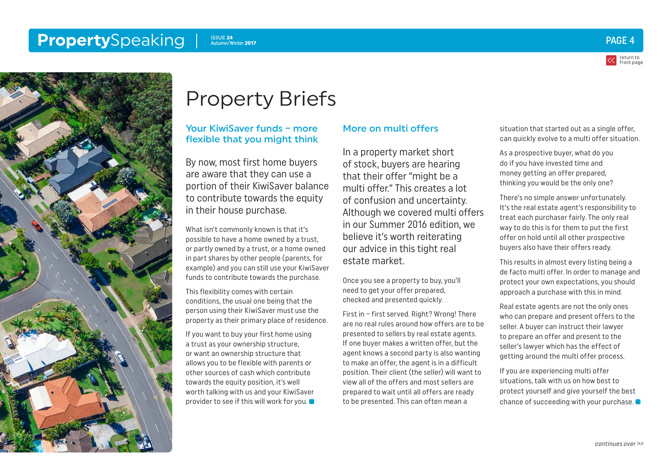#### <span id="page-3-0"></span>**Property**Speaking ISSUE 24 Autumn/Winter 2017



return to [front page](#page-0-0)



# Property Briefs

#### Your KiwiSaver funds – more flexible that you might think

By now, most first home buyers are aware that they can use a portion of their KiwiSaver balance to contribute towards the equity in their house purchase.

What isn't commonly known is that it's possible to have a home owned by a trust, or partly owned by a trust, or a home owned in part shares by other people (parents, for example) and you can still use your KiwiSaver funds to contribute towards the purchase.

This flexibility comes with certain conditions, the usual one being that the person using their KiwiSaver must use the property as their primary place of residence.

If you want to buy your first home using a trust as your ownership structure, or want an ownership structure that allows you to be flexible with parents or other sources of cash which contribute towards the equity position, it's well worth talking with us and your KiwiSaver provider to see if this will work for you.

#### More on multi offers

In a property market short of stock, buyers are hearing that their offer "might be a multi offer." This creates a lot of confusion and uncertainty. Although we covered multi offers in our Summer 2016 edition, we believe it's worth reiterating our advice in this tight real estate market.

Once you see a property to buy, you'll need to get your offer prepared, checked and presented quickly.

First in – first served. Right? Wrong! There are no real rules around how offers are to be presented to sellers by real estate agents. If one buyer makes a written offer, but the agent knows a second party is also wanting to make an offer, the agent is in a difficult position. Their client (the seller) will want to view all of the offers and most sellers are prepared to wait until all offers are ready to be presented. This can often mean a

situation that started out as a single offer, can quickly evolve to a multi offer situation.

As a prospective buyer, what do you do if you have invested time and money getting an offer prepared, thinking you would be the only one?

There's no simple answer unfortunately. It's the real estate agent's responsibility to treat each purchaser fairly. The only real way to do this is for them to put the first offer on hold until all other prospective buyers also have their offers ready.

This results in almost every listing being a de facto multi offer. In order to manage and protect your own expectations, you should approach a purchase with this in mind.

Real estate agents are not the only ones who can prepare and present offers to the seller. A buyer can instruct their lawyer to prepare an offer and present to the seller's lawyer which has the effect of getting around the multi offer process.

If you are experiencing multi offer situations, talk with us on how best to protect yourself and give yourself the best chance of succeeding with your purchase.